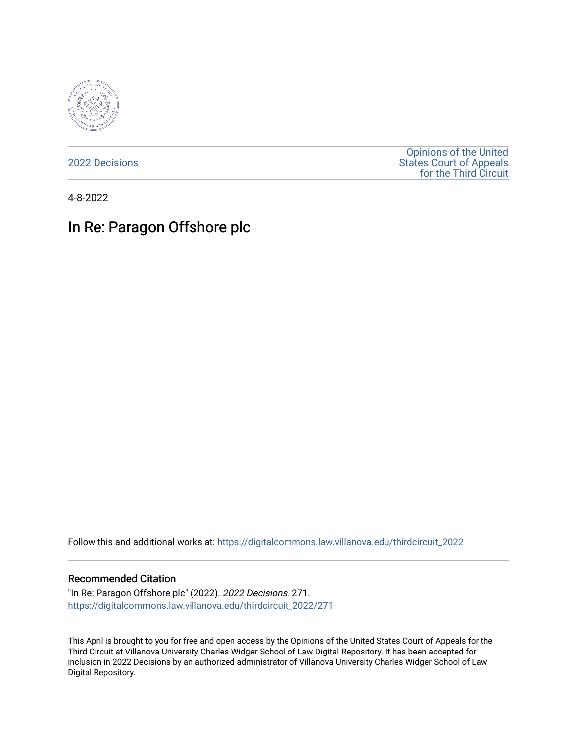

[2022 Decisions](https://digitalcommons.law.villanova.edu/thirdcircuit_2022)

[Opinions of the United](https://digitalcommons.law.villanova.edu/thirdcircuit)  [States Court of Appeals](https://digitalcommons.law.villanova.edu/thirdcircuit)  [for the Third Circuit](https://digitalcommons.law.villanova.edu/thirdcircuit) 

4-8-2022

# In Re: Paragon Offshore plc

Follow this and additional works at: [https://digitalcommons.law.villanova.edu/thirdcircuit\\_2022](https://digitalcommons.law.villanova.edu/thirdcircuit_2022?utm_source=digitalcommons.law.villanova.edu%2Fthirdcircuit_2022%2F271&utm_medium=PDF&utm_campaign=PDFCoverPages) 

#### Recommended Citation

"In Re: Paragon Offshore plc" (2022). 2022 Decisions. 271. [https://digitalcommons.law.villanova.edu/thirdcircuit\\_2022/271](https://digitalcommons.law.villanova.edu/thirdcircuit_2022/271?utm_source=digitalcommons.law.villanova.edu%2Fthirdcircuit_2022%2F271&utm_medium=PDF&utm_campaign=PDFCoverPages)

This April is brought to you for free and open access by the Opinions of the United States Court of Appeals for the Third Circuit at Villanova University Charles Widger School of Law Digital Repository. It has been accepted for inclusion in 2022 Decisions by an authorized administrator of Villanova University Charles Widger School of Law Digital Repository.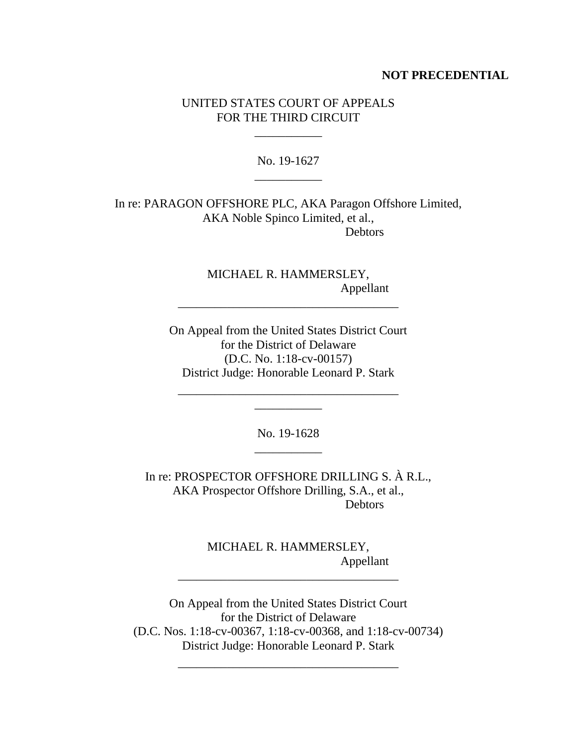### **NOT PRECEDENTIAL**

# UNITED STATES COURT OF APPEALS FOR THE THIRD CIRCUIT

\_\_\_\_\_\_\_\_\_\_\_

No. 19-1627 \_\_\_\_\_\_\_\_\_\_\_

In re: PARAGON OFFSHORE PLC, AKA Paragon Offshore Limited, AKA Noble Spinco Limited, et al., Debtors

> MICHAEL R. HAMMERSLEY, Appellant

On Appeal from the United States District Court for the District of Delaware (D.C. No. 1:18-cv-00157) District Judge: Honorable Leonard P. Stark

\_\_\_\_\_\_\_\_\_\_\_\_\_\_\_\_\_\_\_\_\_\_\_\_\_\_\_\_\_\_\_\_\_\_\_\_ \_\_\_\_\_\_\_\_\_\_\_

\_\_\_\_\_\_\_\_\_\_\_\_\_\_\_\_\_\_\_\_\_\_\_\_\_\_\_\_\_\_\_\_\_\_\_\_

No. 19-1628 \_\_\_\_\_\_\_\_\_\_\_

In re: PROSPECTOR OFFSHORE DRILLING S. À R.L., AKA Prospector Offshore Drilling, S.A., et al., **Debtors** 

> MICHAEL R. HAMMERSLEY, Appellant

\_\_\_\_\_\_\_\_\_\_\_\_\_\_\_\_\_\_\_\_\_\_\_\_\_\_\_\_\_\_\_\_\_\_\_\_

On Appeal from the United States District Court for the District of Delaware (D.C. Nos. 1:18-cv-00367, 1:18-cv-00368, and 1:18-cv-00734) District Judge: Honorable Leonard P. Stark

\_\_\_\_\_\_\_\_\_\_\_\_\_\_\_\_\_\_\_\_\_\_\_\_\_\_\_\_\_\_\_\_\_\_\_\_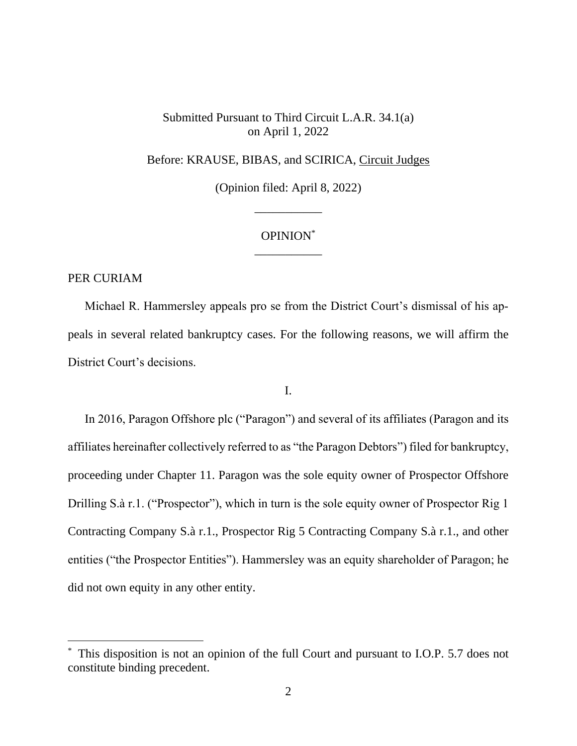Submitted Pursuant to Third Circuit L.A.R. 34.1(a) on April 1, 2022

Before: KRAUSE, BIBAS, and SCIRICA, Circuit Judges

(Opinion filed: April 8, 2022)

\_\_\_\_\_\_\_\_\_\_\_

# OPINION\* \_\_\_\_\_\_\_\_\_\_\_

PER CURIAM

Michael R. Hammersley appeals pro se from the District Court's dismissal of his appeals in several related bankruptcy cases. For the following reasons, we will affirm the District Court's decisions.

I.

In 2016, Paragon Offshore plc ("Paragon") and several of its affiliates (Paragon and its affiliates hereinafter collectively referred to as "the Paragon Debtors") filed for bankruptcy, proceeding under Chapter 11. Paragon was the sole equity owner of Prospector Offshore Drilling S.à r.1. ("Prospector"), which in turn is the sole equity owner of Prospector Rig 1 Contracting Company S.à r.1., Prospector Rig 5 Contracting Company S.à r.1., and other entities ("the Prospector Entities"). Hammersley was an equity shareholder of Paragon; he did not own equity in any other entity.

This disposition is not an opinion of the full Court and pursuant to I.O.P. 5.7 does not constitute binding precedent.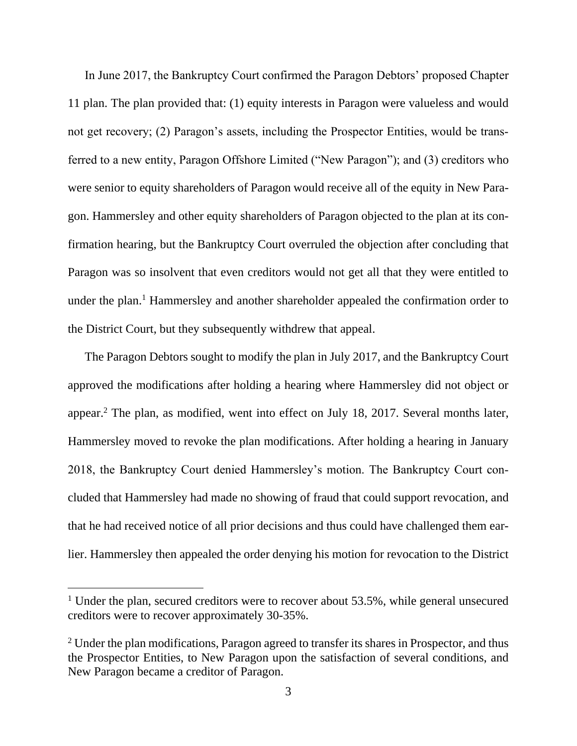In June 2017, the Bankruptcy Court confirmed the Paragon Debtors' proposed Chapter 11 plan. The plan provided that: (1) equity interests in Paragon were valueless and would not get recovery; (2) Paragon's assets, including the Prospector Entities, would be transferred to a new entity, Paragon Offshore Limited ("New Paragon"); and (3) creditors who were senior to equity shareholders of Paragon would receive all of the equity in New Paragon. Hammersley and other equity shareholders of Paragon objected to the plan at its confirmation hearing, but the Bankruptcy Court overruled the objection after concluding that Paragon was so insolvent that even creditors would not get all that they were entitled to under the plan.<sup>1</sup> Hammersley and another shareholder appealed the confirmation order to the District Court, but they subsequently withdrew that appeal.

The Paragon Debtors sought to modify the plan in July 2017, and the Bankruptcy Court approved the modifications after holding a hearing where Hammersley did not object or appear.<sup>2</sup> The plan, as modified, went into effect on July 18, 2017. Several months later, Hammersley moved to revoke the plan modifications. After holding a hearing in January 2018, the Bankruptcy Court denied Hammersley's motion. The Bankruptcy Court concluded that Hammersley had made no showing of fraud that could support revocation, and that he had received notice of all prior decisions and thus could have challenged them earlier. Hammersley then appealed the order denying his motion for revocation to the District

<sup>&</sup>lt;sup>1</sup> Under the plan, secured creditors were to recover about 53.5%, while general unsecured creditors were to recover approximately 30-35%.

 $2$  Under the plan modifications, Paragon agreed to transfer its shares in Prospector, and thus the Prospector Entities, to New Paragon upon the satisfaction of several conditions, and New Paragon became a creditor of Paragon.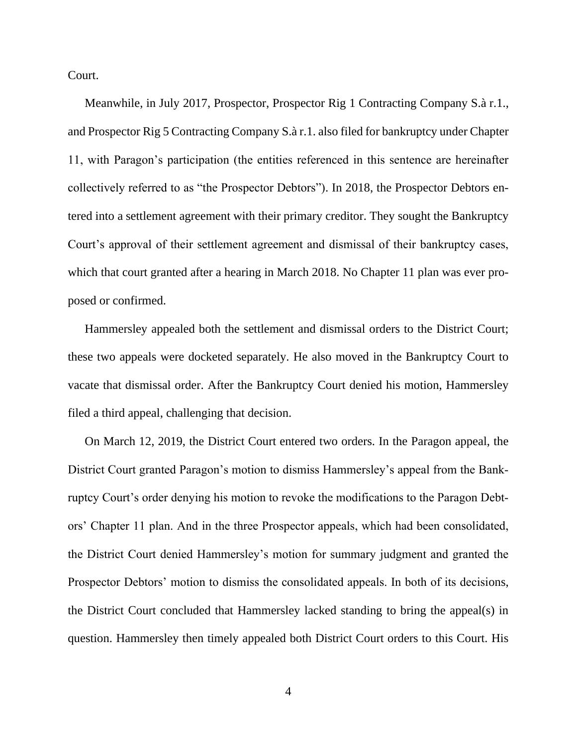Court.

Meanwhile, in July 2017, Prospector, Prospector Rig 1 Contracting Company S.à r.1., and Prospector Rig 5 Contracting Company S.à r.1. also filed for bankruptcy under Chapter 11, with Paragon's participation (the entities referenced in this sentence are hereinafter collectively referred to as "the Prospector Debtors"). In 2018, the Prospector Debtors entered into a settlement agreement with their primary creditor. They sought the Bankruptcy Court's approval of their settlement agreement and dismissal of their bankruptcy cases, which that court granted after a hearing in March 2018. No Chapter 11 plan was ever proposed or confirmed.

Hammersley appealed both the settlement and dismissal orders to the District Court; these two appeals were docketed separately. He also moved in the Bankruptcy Court to vacate that dismissal order. After the Bankruptcy Court denied his motion, Hammersley filed a third appeal, challenging that decision.

On March 12, 2019, the District Court entered two orders. In the Paragon appeal, the District Court granted Paragon's motion to dismiss Hammersley's appeal from the Bankruptcy Court's order denying his motion to revoke the modifications to the Paragon Debtors' Chapter 11 plan. And in the three Prospector appeals, which had been consolidated, the District Court denied Hammersley's motion for summary judgment and granted the Prospector Debtors' motion to dismiss the consolidated appeals. In both of its decisions, the District Court concluded that Hammersley lacked standing to bring the appeal(s) in question. Hammersley then timely appealed both District Court orders to this Court. His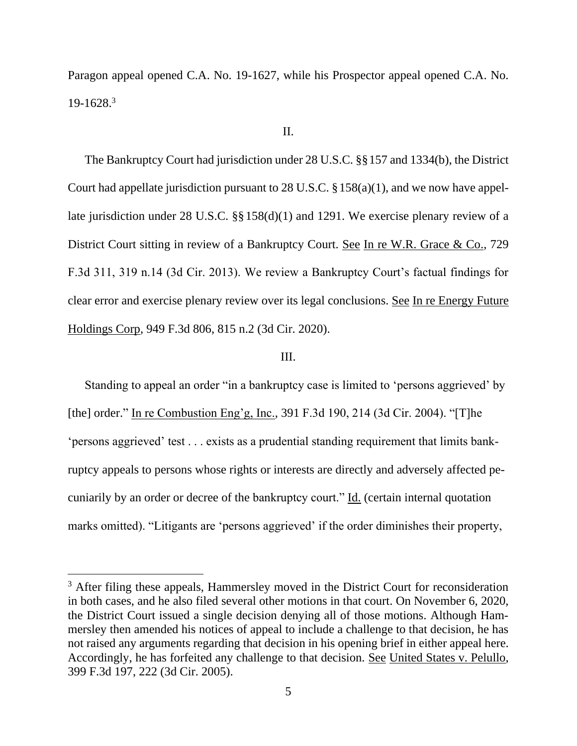Paragon appeal opened C.A. No. 19-1627, while his Prospector appeal opened C.A. No.  $19-1628$ <sup>3</sup>

## II.

The Bankruptcy Court had jurisdiction under 28 U.S.C. §§157 and 1334(b), the District Court had appellate jurisdiction pursuant to 28 U.S.C. §158(a)(1), and we now have appellate jurisdiction under 28 U.S.C. §§158(d)(1) and 1291. We exercise plenary review of a District Court sitting in review of a Bankruptcy Court. See In re W.R. Grace & Co., 729 F.3d 311, 319 n.14 (3d Cir. 2013). We review a Bankruptcy Court's factual findings for clear error and exercise plenary review over its legal conclusions. See In re Energy Future Holdings Corp, 949 F.3d 806, 815 n.2 (3d Cir. 2020).

### III.

Standing to appeal an order "in a bankruptcy case is limited to 'persons aggrieved' by [the] order." In re Combustion Eng'g, Inc., 391 F.3d 190, 214 (3d Cir. 2004). "[T]he 'persons aggrieved' test . . . exists as a prudential standing requirement that limits bankruptcy appeals to persons whose rights or interests are directly and adversely affected pecuniarily by an order or decree of the bankruptcy court." Id. (certain internal quotation marks omitted). "Litigants are 'persons aggrieved' if the order diminishes their property,

<sup>&</sup>lt;sup>3</sup> After filing these appeals, Hammersley moved in the District Court for reconsideration in both cases, and he also filed several other motions in that court. On November 6, 2020, the District Court issued a single decision denying all of those motions. Although Hammersley then amended his notices of appeal to include a challenge to that decision, he has not raised any arguments regarding that decision in his opening brief in either appeal here. Accordingly, he has forfeited any challenge to that decision. See United States v. Pelullo, 399 F.3d 197, 222 (3d Cir. 2005).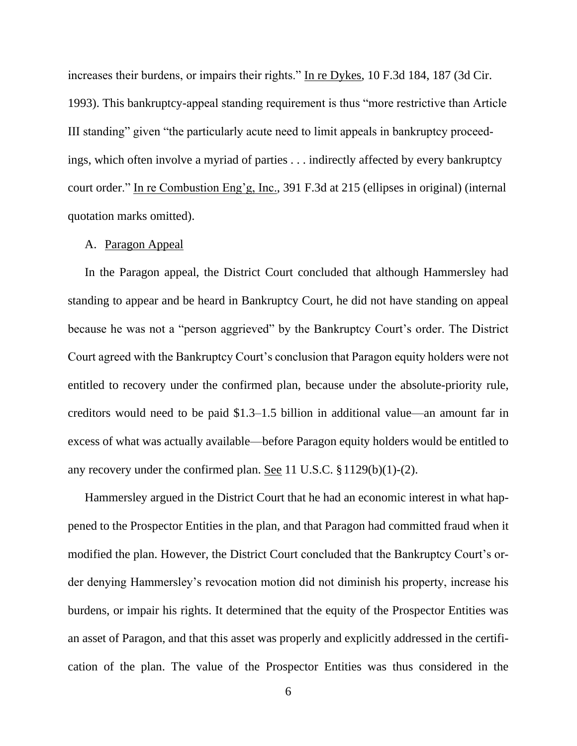increases their burdens, or impairs their rights." In re Dykes, 10 F.3d 184, 187 (3d Cir. 1993). This bankruptcy-appeal standing requirement is thus "more restrictive than Article III standing" given "the particularly acute need to limit appeals in bankruptcy proceedings, which often involve a myriad of parties . . . indirectly affected by every bankruptcy court order." In re Combustion Eng'g, Inc., 391 F.3d at 215 (ellipses in original) (internal quotation marks omitted).

### A. Paragon Appeal

In the Paragon appeal, the District Court concluded that although Hammersley had standing to appear and be heard in Bankruptcy Court, he did not have standing on appeal because he was not a "person aggrieved" by the Bankruptcy Court's order. The District Court agreed with the Bankruptcy Court's conclusion that Paragon equity holders were not entitled to recovery under the confirmed plan, because under the absolute-priority rule, creditors would need to be paid \$1.3–1.5 billion in additional value—an amount far in excess of what was actually available—before Paragon equity holders would be entitled to any recovery under the confirmed plan. See 11 U.S.C. §1129(b)(1)-(2).

Hammersley argued in the District Court that he had an economic interest in what happened to the Prospector Entities in the plan, and that Paragon had committed fraud when it modified the plan. However, the District Court concluded that the Bankruptcy Court's order denying Hammersley's revocation motion did not diminish his property, increase his burdens, or impair his rights. It determined that the equity of the Prospector Entities was an asset of Paragon, and that this asset was properly and explicitly addressed in the certification of the plan. The value of the Prospector Entities was thus considered in the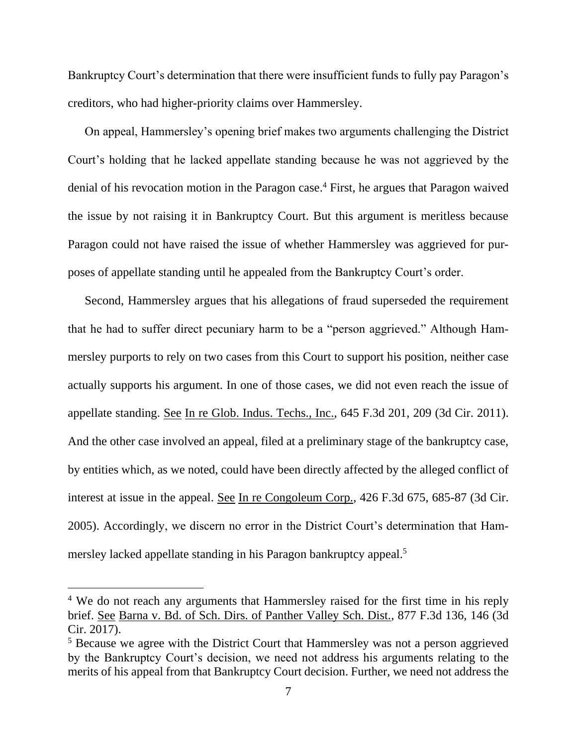Bankruptcy Court's determination that there were insufficient funds to fully pay Paragon's creditors, who had higher-priority claims over Hammersley.

On appeal, Hammersley's opening brief makes two arguments challenging the District Court's holding that he lacked appellate standing because he was not aggrieved by the denial of his revocation motion in the Paragon case. <sup>4</sup> First, he argues that Paragon waived the issue by not raising it in Bankruptcy Court. But this argument is meritless because Paragon could not have raised the issue of whether Hammersley was aggrieved for purposes of appellate standing until he appealed from the Bankruptcy Court's order.

Second, Hammersley argues that his allegations of fraud superseded the requirement that he had to suffer direct pecuniary harm to be a "person aggrieved." Although Hammersley purports to rely on two cases from this Court to support his position, neither case actually supports his argument. In one of those cases, we did not even reach the issue of appellate standing. See In re Glob. Indus. Techs., Inc., 645 F.3d 201, 209 (3d Cir. 2011). And the other case involved an appeal, filed at a preliminary stage of the bankruptcy case, by entities which, as we noted, could have been directly affected by the alleged conflict of interest at issue in the appeal. See In re Congoleum Corp., 426 F.3d 675, 685-87 (3d Cir. 2005). Accordingly, we discern no error in the District Court's determination that Hammersley lacked appellate standing in his Paragon bankruptcy appeal.<sup>5</sup>

<sup>&</sup>lt;sup>4</sup> We do not reach any arguments that Hammersley raised for the first time in his reply brief. See Barna v. Bd. of Sch. Dirs. of Panther Valley Sch. Dist., 877 F.3d 136, 146 (3d Cir. 2017).

<sup>&</sup>lt;sup>5</sup> Because we agree with the District Court that Hammersley was not a person aggrieved by the Bankruptcy Court's decision, we need not address his arguments relating to the merits of his appeal from that Bankruptcy Court decision. Further, we need not address the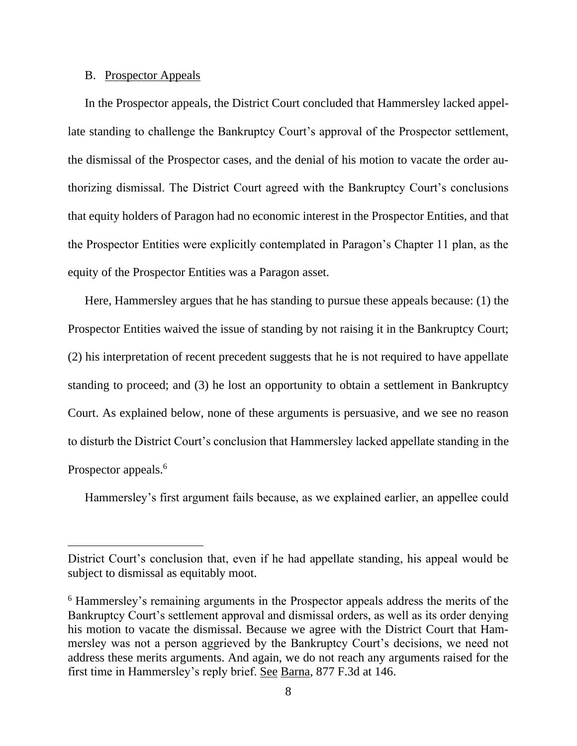### B. Prospector Appeals

In the Prospector appeals, the District Court concluded that Hammersley lacked appellate standing to challenge the Bankruptcy Court's approval of the Prospector settlement, the dismissal of the Prospector cases, and the denial of his motion to vacate the order authorizing dismissal. The District Court agreed with the Bankruptcy Court's conclusions that equity holders of Paragon had no economic interest in the Prospector Entities, and that the Prospector Entities were explicitly contemplated in Paragon's Chapter 11 plan, as the equity of the Prospector Entities was a Paragon asset.

Here, Hammersley argues that he has standing to pursue these appeals because: (1) the Prospector Entities waived the issue of standing by not raising it in the Bankruptcy Court; (2) his interpretation of recent precedent suggests that he is not required to have appellate standing to proceed; and (3) he lost an opportunity to obtain a settlement in Bankruptcy Court. As explained below, none of these arguments is persuasive, and we see no reason to disturb the District Court's conclusion that Hammersley lacked appellate standing in the Prospector appeals.<sup>6</sup>

Hammersley's first argument fails because, as we explained earlier, an appellee could

District Court's conclusion that, even if he had appellate standing, his appeal would be subject to dismissal as equitably moot.

<sup>6</sup> Hammersley's remaining arguments in the Prospector appeals address the merits of the Bankruptcy Court's settlement approval and dismissal orders, as well as its order denying his motion to vacate the dismissal. Because we agree with the District Court that Hammersley was not a person aggrieved by the Bankruptcy Court's decisions, we need not address these merits arguments. And again, we do not reach any arguments raised for the first time in Hammersley's reply brief. See Barna, 877 F.3d at 146.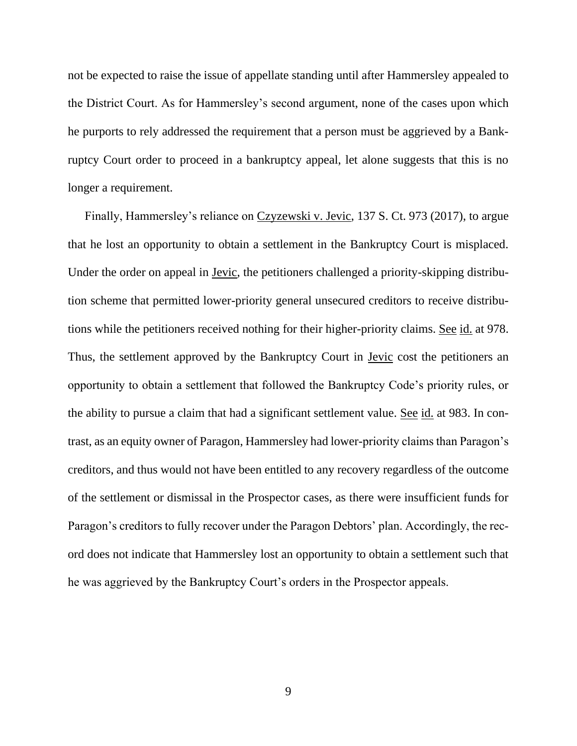not be expected to raise the issue of appellate standing until after Hammersley appealed to the District Court. As for Hammersley's second argument, none of the cases upon which he purports to rely addressed the requirement that a person must be aggrieved by a Bankruptcy Court order to proceed in a bankruptcy appeal, let alone suggests that this is no longer a requirement.

Finally, Hammersley's reliance on Czyzewski v. Jevic, 137 S. Ct. 973 (2017), to argue that he lost an opportunity to obtain a settlement in the Bankruptcy Court is misplaced. Under the order on appeal in Jevic, the petitioners challenged a priority-skipping distribution scheme that permitted lower-priority general unsecured creditors to receive distributions while the petitioners received nothing for their higher-priority claims. See id. at 978. Thus, the settlement approved by the Bankruptcy Court in <u>Jevic</u> cost the petitioners an opportunity to obtain a settlement that followed the Bankruptcy Code's priority rules, or the ability to pursue a claim that had a significant settlement value. <u>See id.</u> at 983. In contrast, as an equity owner of Paragon, Hammersley had lower-priority claims than Paragon's creditors, and thus would not have been entitled to any recovery regardless of the outcome of the settlement or dismissal in the Prospector cases, as there were insufficient funds for Paragon's creditors to fully recover under the Paragon Debtors' plan. Accordingly, the record does not indicate that Hammersley lost an opportunity to obtain a settlement such that he was aggrieved by the Bankruptcy Court's orders in the Prospector appeals.